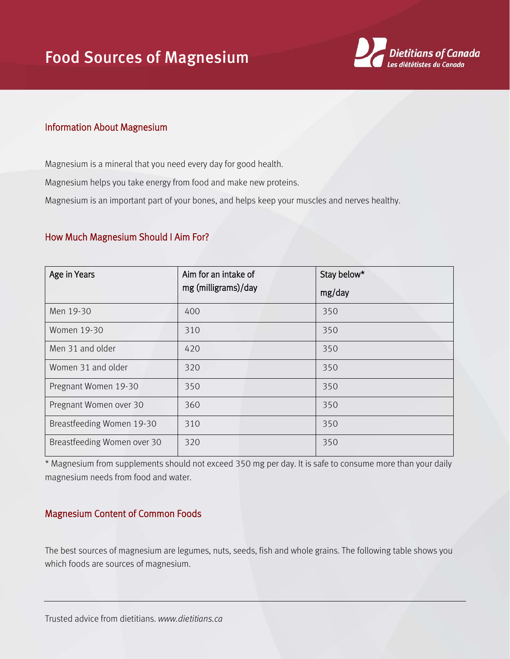

## Information About Magnesium

Magnesium is a mineral that you need every day for good health.

Magnesium helps you take energy from food and make new proteins.

Magnesium is an important part of your bones, and helps keep your muscles and nerves healthy.

## How Much Magnesium Should I Aim For?

| Age in Years                | Aim for an intake of | Stay below* |
|-----------------------------|----------------------|-------------|
|                             | mg (milligrams)/day  | mg/day      |
| Men 19-30                   | 400                  | 350         |
| Women 19-30                 | 310                  | 350         |
| Men 31 and older            | 420                  | 350         |
| Women 31 and older          | 320                  | 350         |
| Pregnant Women 19-30        | 350                  | 350         |
| Pregnant Women over 30      | 360                  | 350         |
| Breastfeeding Women 19-30   | 310                  | 350         |
| Breastfeeding Women over 30 | 320                  | 350         |

\* Magnesium from supplements should not exceed 350 mg per day. It is safe to consume more than your daily magnesium needs from food and water.

## Magnesium Content of Common Foods

The best sources of magnesium are legumes, nuts, seeds, fish and whole grains. The following table shows you which foods are sources of magnesium.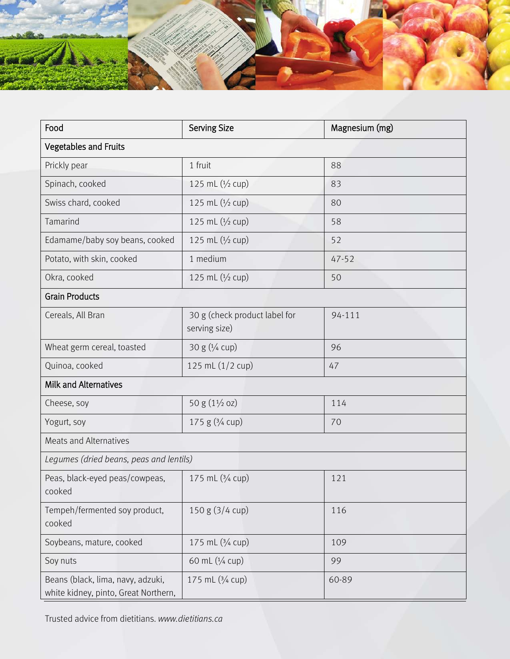

| Food                                                                      | <b>Serving Size</b>                            | Magnesium (mg) |  |  |
|---------------------------------------------------------------------------|------------------------------------------------|----------------|--|--|
| <b>Vegetables and Fruits</b>                                              |                                                |                |  |  |
| Prickly pear                                                              | 1 fruit                                        | 88             |  |  |
| Spinach, cooked                                                           | 125 mL (1/2 cup)                               | 83             |  |  |
| Swiss chard, cooked                                                       | 125 mL (1/2 cup)                               | 80             |  |  |
| Tamarind                                                                  | 125 mL (1/2 cup)                               | 58             |  |  |
| Edamame/baby soy beans, cooked                                            | 125 mL (1/2 cup)                               | 52             |  |  |
| Potato, with skin, cooked                                                 | 1 medium                                       | $47 - 52$      |  |  |
| Okra, cooked                                                              | 125 mL (1/2 cup)                               | 50             |  |  |
| <b>Grain Products</b>                                                     |                                                |                |  |  |
| Cereals, All Bran                                                         | 30 g (check product label for<br>serving size) | 94-111         |  |  |
| Wheat germ cereal, toasted                                                | 30 g (1/4 cup)                                 | 96             |  |  |
| Quinoa, cooked                                                            | 125 mL (1/2 cup)                               | 47             |  |  |
| <b>Milk and Alternatives</b>                                              |                                                |                |  |  |
| Cheese, soy                                                               | 50 g $(1\frac{1}{2}$ oz)                       | 114            |  |  |
| Yogurt, soy                                                               | 175 g $(3/4$ cup)                              | 70             |  |  |
| <b>Meats and Alternatives</b>                                             |                                                |                |  |  |
| Legumes (dried beans, peas and lentils)                                   |                                                |                |  |  |
| Peas, black-eyed peas/cowpeas,<br>cooked                                  | 175 mL (3/4 cup)                               | 121            |  |  |
| Tempeh/fermented soy product,<br>cooked                                   | 150 g (3/4 cup)                                | 116            |  |  |
| Soybeans, mature, cooked                                                  | 175 mL (3/4 cup)                               | 109            |  |  |
| Soy nuts                                                                  | 60 mL (1/4 cup)                                | 99             |  |  |
| Beans (black, lima, navy, adzuki,<br>white kidney, pinto, Great Northern, | 175 mL (3/4 cup)                               | 60-89          |  |  |

Trusted advice from dietitians. *www.dietitians.ca*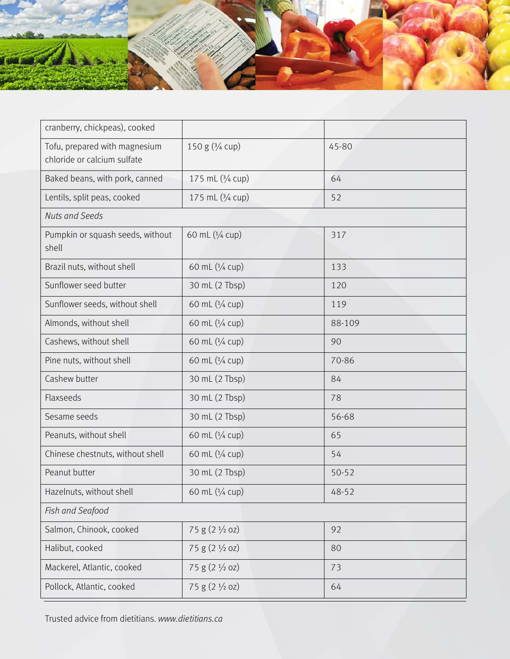

| 150 g $(3/4$ cup)         | 45-80     |  |  |  |
|---------------------------|-----------|--|--|--|
| 175 mL (3/4 cup)          | 64        |  |  |  |
| 175 mL (3/4 cup)          | 52        |  |  |  |
| <b>Nuts and Seeds</b>     |           |  |  |  |
| 60 mL (1/4 cup)           | 317       |  |  |  |
| 60 mL (1/4 cup)           | 133       |  |  |  |
| 30 mL (2 Tbsp)            | 120       |  |  |  |
| 60 mL (1/4 cup)           | 119       |  |  |  |
| 60 mL (1/4 cup)           | 88-109    |  |  |  |
| 60 mL (1/4 cup)           | 90        |  |  |  |
| 60 mL (1/4 cup)           | 70-86     |  |  |  |
| 30 mL (2 Tbsp)            | 84        |  |  |  |
| 30 mL (2 Tbsp)            | 78        |  |  |  |
| 30 mL (2 Tbsp)            | 56-68     |  |  |  |
| 60 mL (1/4 cup)           | 65        |  |  |  |
| 60 mL (1/4 cup)           | 54        |  |  |  |
| 30 mL (2 Tbsp)            | $50 - 52$ |  |  |  |
| 60 mL (1/4 cup)           | 48-52     |  |  |  |
|                           |           |  |  |  |
| 75 g (2 1/2 oz)           | 92        |  |  |  |
| 75 g (2 1/2 oz)           | 80        |  |  |  |
| 75 g $(2 \frac{1}{2}$ oz) | 73        |  |  |  |
| 75 g (2 1/2 oz)           | 64        |  |  |  |
|                           |           |  |  |  |

Trusted advice from dietitians. *www.dietitians.ca*